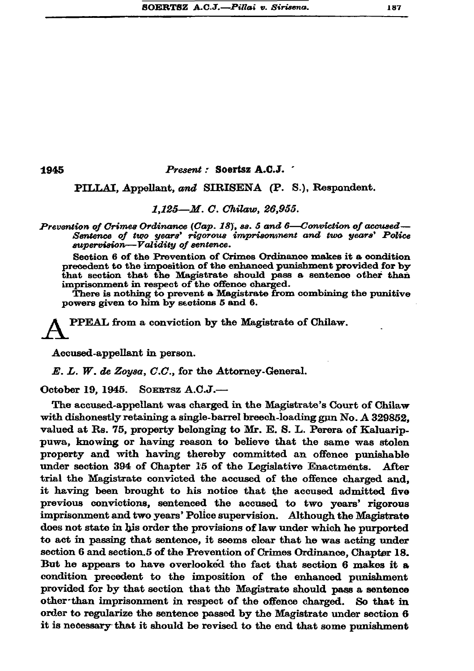1945

## Present: Soertsz A.C.J.

PILLAI. Appellant. and SIRISENA (P. S.), Respondent.

## 1.125-M. C. Chilaw. 26.955.

Prevention of Crimes Ordinance (Cap. 18), es. 5 and 6—Conviction of accused— Sentence of two years' rigorous imprisonment and two years' Police supervision-Validity of sentence.

Section 6 of the Prevention of Crimes Ordinance makes it a condition precedent to the imposition of the enhanced punishment provided for by that section that the Magistrate should pass a sentence other than imprisonment in respect of the offence charged.

There is nothing to prevent a Magistrate from combining the punitive powers given to him by sections 5 and 6.

PPEAL from a conviction by the Magistrate of Chilaw.

Accused-appellant in person.

E. L. W. de Zoysa, C.C., for the Attorney-General.

October 19. 1945. SOERTSZ A.C.J.-

The accused-appellant was charged in the Magistrate's Court of Chilaw with dishonestly retaining a single-barrel breech-loading gun No. A 329852. valued at Rs. 75, property belonging to Mr. E. S. L. Perera of Kaluarippuwa, knowing or having reason to believe that the same was stolen property and with having thereby committed an offence punishable under section 394 of Chapter 15 of the Legislative Enactments. After trial the Magistrate convicted the accused of the offence charged and. it having been brought to his notice that the accused admitted five previous convictions, sentenced the accused to two years' rigorous imprisonment and two years' Police supervision. Although the Magistrate does not state in his order the provisions of law under which he purported to act in passing that sentence, it seems clear that he was acting under section 6 and section.5 of the Prevention of Crimes Ordinance, Chapter 18. But he appears to have overlooked the fact that section 6 makes it a condition precedent to the imposition of the enhanced punishment provided for by that section that the Magistrate should pass a sentence other than imprisonment in respect of the offence charged. So that in order to regularize the sentence passed by the Magistrate under section 6 it is necessary that it should be revised to the end that some punishment